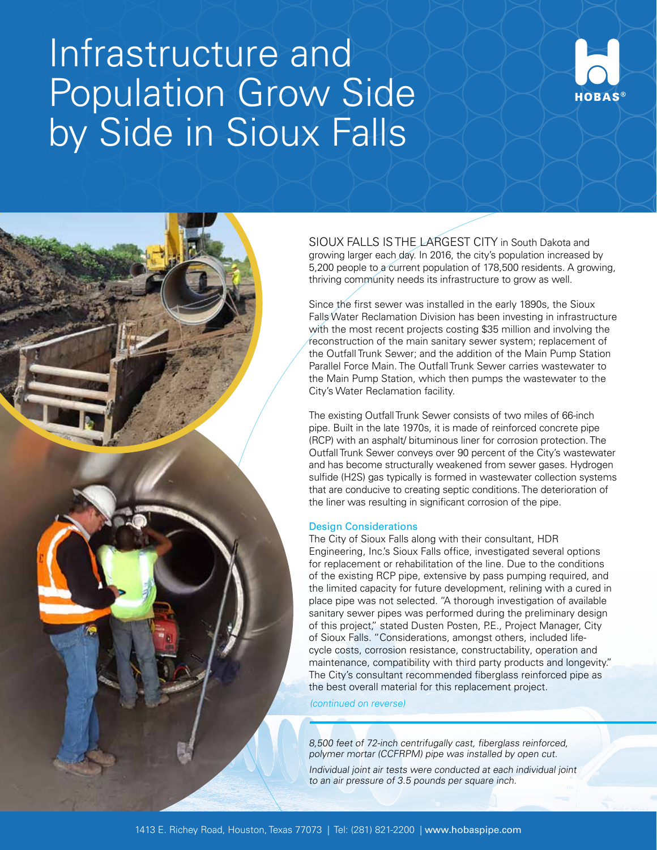# Infrastructure and Population Grow Side by Side in Sioux Falls



SIOUX FALLS IS THE LARGEST CITY in South Dakota and growing larger each day. In 2016, the city's population increased by 5,200 people to a current population of 178,500 residents. A growing, thriving community needs its infrastructure to grow as well.

Since the first sewer was installed in the early 1890s, the Sioux Falls Water Reclamation Division has been investing in infrastructure with the most recent projects costing \$35 million and involving the reconstruction of the main sanitary sewer system; replacement of the Outfall Trunk Sewer; and the addition of the Main Pump Station Parallel Force Main. The Outfall Trunk Sewer carries wastewater to the Main Pump Station, which then pumps the wastewater to the City's Water Reclamation facility.

The existing Outfall Trunk Sewer consists of two miles of 66-inch pipe. Built in the late 1970s, it is made of reinforced concrete pipe (RCP) with an asphalt/ bituminous liner for corrosion protection. The Outfall Trunk Sewer conveys over 90 percent of the City's wastewater and has become structurally weakened from sewer gases. Hydrogen sulfide (H2S) gas typically is formed in wastewater collection systems that are conducive to creating septic conditions. The deterioration of the liner was resulting in significant corrosion of the pipe.

### Design Considerations

The City of Sioux Falls along with their consultant, HDR Engineering, Inc.'s Sioux Falls office, investigated several options for replacement or rehabilitation of the line. Due to the conditions of the existing RCP pipe, extensive by pass pumping required, and the limited capacity for future development, relining with a cured in place pipe was not selected. "A thorough investigation of available sanitary sewer pipes was performed during the preliminary design of this project," stated Dusten Posten, P.E., Project Manager, City of Sioux Falls. "Considerations, amongst others, included lifecycle costs, corrosion resistance, constructability, operation and maintenance, compatibility with third party products and longevity." The City's consultant recommended fiberglass reinforced pipe as the best overall material for this replacement project.

(continued on reverse)

8,500 feet of 72-inch centrifugally cast, fiberglass reinforced, polymer mortar (CCFRPM) pipe was installed by open cut.

Individual joint air tests were conducted at each individual joint to an air pressure of 3.5 pounds per square inch.